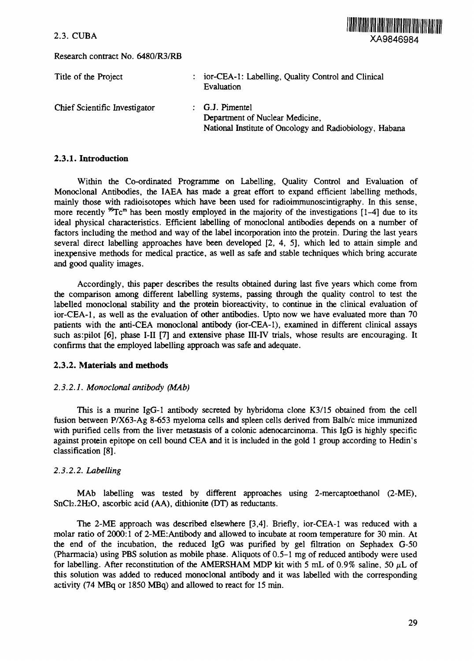Research contract No. 6480/R3/RB



| Title of the Project          | : ior-CEA-1: Labelling, Quality Control and Clinical<br>Evaluation |
|-------------------------------|--------------------------------------------------------------------|
| Chief Scientific Investigator | $:$ G.J. Pimentel<br>Department of Nuclear Medicine,               |
|                               | National Institute of Oncology and Radiobiology, Habana            |

## **2.3.1. Introduction**

Within the Co-ordinated Programme on Labelling, Quality Control and Evaluation of Monoclonal Antibodies, the IAEA has made a great effort to expand efficient labelling methods, mainly those with radioisotopes which have been used for radioimmunoscintigraphy. In this sense, more recently  ${}^{99}Te^m$  has been mostly employed in the majority of the investigations [1-4] due to its ideal physical characteristics. Efficient labelling of monoclonal antibodies depends on a number of factors including the method and way of the label incorporation into the protein. During the last years several direct labelling approaches have been developed [2, 4, 5], which led to attain simple and inexpensive methods for medical practice, as well as safe and stable techniques which bring accurate and good quality images.

Accordingly, this paper describes the results obtained during last five years which come from the comparison among different labelling systems, passing through the quality control to test the labelled monoclonal stability and the protein bioreactivity, to continue in the clinical evaluation of ior-CEA-1, as well as the evaluation of other antibodies. Upto now we have evaluated more than 70 patients with the anti-CEA monoclonal antibody (ior-CEA-1), examined in different clinical assays such as:pilot [6], phase I-II [7] and extensive phase III-IV trials, whose results are encouraging. It confirms that the employed labelling approach was safe and adequate.

## **2.3.2. Materials and methods**

## *2.3.2.1. Monoclonal antibody (MAb)*

This is a murine IgG-1 antibody secreted by hybridoma clone K3/15 obtained from the cell fusion between P/X63-Ag 8-653 myeloma cells and spleen cells derived from Balb/c mice immunized with purified cells from the liver metastasis of a colonic adenocarcinoma. This IgG is highly specific against protein epitope on cell bound CEA and it is included in the gold 1 group according to Hedin's classification [8].

## *2.3.2.2. Labelling*

MAb labelling was tested by different approaches using 2-mercaptoethanol (2-ME), SnCl<sub>2</sub>.2H<sub>2</sub>O, ascorbic acid (AA), dithionite (DT) as reductants.

The 2-ME approach was described elsewhere [3,4]. Briefly, ior-CEA-1 was reduced with a molar ratio of 2000:1 of 2-ME: Antibody and allowed to incubate at room temperature for 30 min. At the end of the incubation, the reduced IgG was purified by gel filtration on Sephadex G-50 (Pharmacia) using PBS solution as mobile phase. Aliquots of 0.5-1 mg of reduced antibody were used for labelling. After reconstitution of the AMERSHAM MDP kit with 5 mL of  $0.9\%$  saline, 50  $\mu$ L of this solution was added to reduced monoclonal antibody and it was labelled with the corresponding activity (74 MBq or 1850 MBq) and allowed to react for 15 min.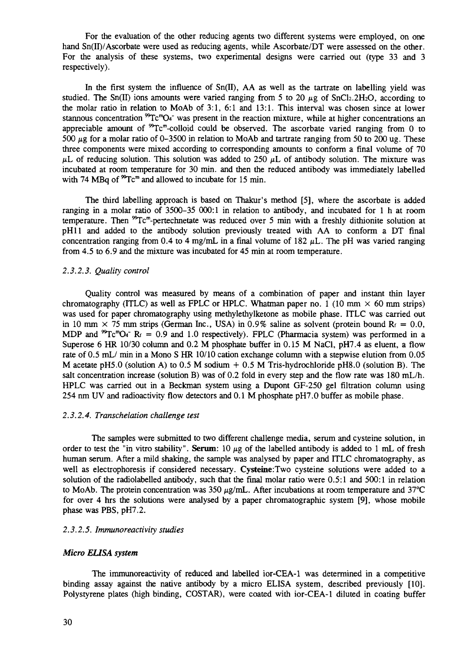For the evaluation of the other reducing agents two different systems were employed, on one hand Sn(II)/Ascorbate were used as reducing agents, while Ascorbate/DT were assessed on the other. For the analysis of these systems, two experimental designs were carried out (type 33 and 3 respectively).

In the first system the influence of  $Sn(II)$ , AA as well as the tartrate on labelling yield was studied. The Sn(II) ions amounts were varied ranging from 5 to 20  $\mu$ g of SnCl<sub>2</sub>.2H<sub>2</sub>O, according to the molar ratio in relation to MoAb of 3:1, 6:1 and 13:1. This interval was chosen since at lower stannous concentration  ${}^{99}Tc^mO_4$  was present in the reaction mixture, while at higher concentrations an appreciable amount of  ${}^{99}Te^{m}$ -colloid could be observed. The ascorbate varied ranging from 0 to 500  $\mu$ g for a molar ratio of 0-3500 in relation to MoAb and tartrate ranging from 50 to 200 ug. These three components were mixed according to corresponding amounts to conform a final volume of 70  $\mu$ L of reducing solution. This solution was added to 250  $\mu$ L of antibody solution. The mixture was incubated at room temperature for 30 min. and then the reduced antibody was immediately labelled with 74 MBq of  ${}^{99}Te^m$  and allowed to incubate for 15 min.

The third labelling approach is based on Thakur's method [5], where the ascorbate is added ranging in a molar ratio of 3500-35 000:1 in relation to antibody, and incubated for 1 h at room temperature. Then <sup>99</sup>Tc<sup>m</sup>-pertechnetate was reduced over 5 min with a freshly dithionite solution at pHll and added to the antibody solution previously treated with AA to conform a DT final concentration ranging from 0.4 to 4 mg/mL in a final volume of 182  $\mu$ L. The pH was varied ranging from 4.5 to 6.9 and the mixture was incubated for 45 min at room temperature.

#### *2.3.2.3. Quality control*

Quality control was measured by means of a combination of paper and instant thin layer chromatography (ITLC) as well as FPLC or HPLC. Whatman paper no. 1 (10 mm  $\times$  60 mm strips) was used for paper chromatography using methylethylketone as mobile phase. ITLC was carried out in 10 mm  $\times$  75 mm strips (German Inc., USA) in 0.9% saline as solvent (protein bound R $_f$  = 0.0, MDP and  ${}^{99}Tc{}^{m}O_4$  R<sub>f</sub> = 0.9 and 1.0 respectively). FPLC (Pharmacia system) was performed in a Superose 6 HR 10/30 column and 0.2 M phosphate buffer in 0.15 M NaCl, pH7.4 as eluent, a flow rate of 0.5 mL/ min in a Mono S HR 10/10 cation exchange column with a stepwise elution from 0.05 M acetate pH5.0 (solution A) to 0.5 M sodium  $+$  0.5 M Tris-hydrochloride pH8.0 (solution B). The salt concentration increase (solution B) was of 0.2 fold in every step and the flow rate was 180 mL/h. HPLC was carried out in a Beckman system using a Dupont GF-250 gel filtration column using 254 nm UV and radioactivity flow detectors and 0.1 M phosphate pH7.0 buffer as mobile phase.

#### *2.3.2.4. Transchelation challenge test*

The samples were submitted to two different challenge media, serum and cysteine solution, in order to test the "in vitro stability". **Serum**: 10  $\mu$ g of the labelled antibody is added to 1 mL of fresh human serum. After a mild shaking, the sample was analysed by paper and ITLC chromatography, as well as electrophoresis if considered necessary. **Cysteine:Two** cysteine solutions were added to a solution of the radiolabelled antibody, such that the final molar ratio were 0.5:1 and 500:1 in relation to MoAb. The protein concentration was 350  $\mu$ g/mL. After incubations at room temperature and 37°C for over 4 hrs the solutions were analysed by a paper chromatographic system [9], whose mobile phase was PBS, pH7.2.

## *2.3.2.5. Immunoreactivity studies*

#### *Micro ELJSA system*

The immunoreactivity of reduced and labelled ior-CEA-1 was determined in a competitive binding assay against the native antibody by a micro ELISA system, described previously [10]. Polystyrene plates (high binding, COSTAR), were coated with ior-CEA-1 diluted in coating buffer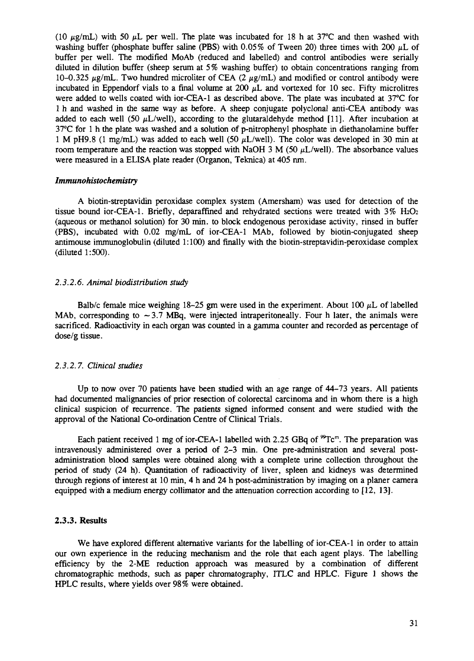(10  $\mu$ g/mL) with 50  $\mu$ L per well. The plate was incubated for 18 h at 37°C and then washed with washing buffer (phosphate buffer saline (PBS) with 0.05% of Tween 20) three times with 200  $\mu$ L of buffer per well. The modified MoAb (reduced and labelled) and control antibodies were serially diluted in dilution buffer (sheep serum at 5% washing buffer) to obtain concentrations ranging from 10-0.325  $\mu$ g/mL. Two hundred microliter of CEA (2  $\mu$ g/mL) and modified or control antibody were incubated in Eppendorf vials to a final volume at 200 *pL* and vortexed for 10 sec. Fifty microlitres were added to wells coated with ior-CEA-1 as described above. The plate was incubated at 37°C for 1 h and washed in the same way as before. A sheep conjugate polyclonal anti-CEA antibody was added to each well (50  $\mu$ L/well), according to the glutaraldehyde method [11]. After incubation at 37°C for 1 h the plate was washed and a solution of p-nitrophenyl phosphate in diethanolamine buffer 1 M pH9.8 (1 mg/mL) was added to each well (50  $\mu$ L/well). The color was developed in 30 min at room temperature and the reaction was stopped with NaOH 3 M (50  $\mu$ L/well). The absorbance values were measured in a ELISA plate reader (Organon, Teknica) at 405 nm.

#### *Immunohistochemistry*

A biotin-streptavidin peroxidase complex system (Amersham) was used for detection of the tissue bound ior-CEA-1. Briefly, deparaffined and rehydrated sections were treated with  $3\%$  H<sub>2</sub>O<sub>2</sub> (aqueous or methanol solution) for 30 min. to block endogenous peroxidase activity, rinsed in buffer (PBS), incubated with 0.02 mg/mL of ior-CEA-1 MAb, followed by biotin-conjugated sheep antimouse immunoglobulin (diluted 1:100) and finally with the biotin-streptavidin-peroxidase complex (diluted 1:500).

#### *2.3.2.6. Animal biodistribution study*

Balb/c female mice weighing 18-25 gm were used in the experiment. About 100  $\mu$ L of labelled MAb, corresponding to  $\sim$  3.7 MBq, were injected intraperitoneally. Four h later, the animals were sacrificed. Radioactivity in each organ was counted in a gamma counter and recorded as percentage of dose/g tissue.

#### *2.3.2.7. Clinical studies*

Up to now over 70 patients have been studied with an age range of 44-73 years. All patients had documented malignancies of prior resection of colorectal carcinoma and in whom there is a high clinical suspicion of recurrence. The patients signed informed consent and were studied with the approval of the National Co-ordination Centre of Clinical Trials.

Each patient received 1 mg of ior-CEA-1 labelled with 2.25 GBq of <sup>99</sup>Tc<sup>m</sup>. The preparation was intravenously administered over a period of 2-3 min. One pre-administration and several postadministration blood samples were obtained along with a complete urine collection throughout the period of study (24 h). Quantitation of radioactivity of liver, spleen and kidneys was determined through regions of interest at 10 min, 4 h and 24 h post-administration by imaging on a planer camera equipped with a medium energy collimator and the attenuation correction according to [12, 13].

#### **2.3.3. Results**

We have explored different alternative variants for the labelling of ior-CEA-1 in order to attain our own experience in the reducing mechanism and the role that each agent plays. The labelling efficiency by the 2-ME reduction approach was measured by a combination of different chromatographic methods, such as paper chromatography, ITLC and HPLC. Figure 1 shows the HPLC results, where yields over 98% were obtained.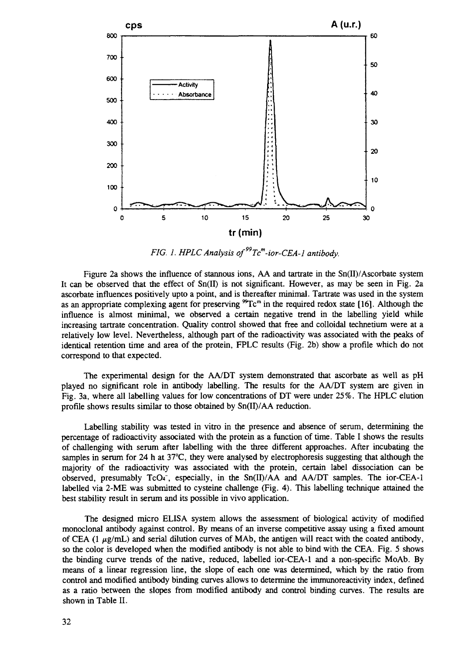

*FIG. 1. HPLC Analysis of<sup>99</sup>Tc<sup>m</sup> -ior-CEA-l antibody.*

Figure 2a shows the influence of stannous ions, AA and tartrate in the Sn(II)/Ascorbate system It can be observed that the effect of Sn(II) is not significant. However, as may be seen in Fig. 2a ascorbate influences positively upto a point, and is thereafter minimal. Tartrate was used in the system as an appropriate complexing agent for preserving  ${}^{99}Te^m$  in the required redox state [16]. Although the influence is almost minimal, we observed a certain negative trend in the labelling yield while increasing tartrate concentration. Quality control showed that free and colloidal technetium were at a relatively low level. Nevertheless, although part of the radioactivity was associated with the peaks of identical retention time and area of the protein, FPLC results (Fig. 2b) show a profile which do not correspond to that expected.

The experimental design for the AA/DT system demonstrated that ascorbate as well as pH played no significant role in antibody labelling. The results for the AA/DT system are given in Fig. 3a, where all labelling values for low concentrations of DT were under 25%. The HPLC elution profile shows results similar to those obtained by Sn(II)/AA reduction.

Labelling stability was tested in vitro in the presence and absence of serum, determining the percentage of radioactivity associated with the protein as a function of time. Table I shows the results of challenging with serum after labelling with the three different approaches. After incubating the samples in serum for 24 h at 37°C, they were analysed by electrophoresis suggesting that although the majority of the radioactivity was associated with the protein, certain label dissociation can be observed, presumably  $TcO_4^-$ , especially, in the  $Sn(II)/AA$  and  $AA/DT$  samples. The ior-CEA-1 labelled via 2-ME was submitted to cysteine challenge (Fig. 4). This labelling technique attained the best stability result in serum and its possible in vivo application.

The designed micro ELISA system allows the assessment of biological activity of modified monoclonal antibody against control. By means of an inverse competitive assay using a fixed amount of CEA (1  $\mu$ g/mL) and serial dilution curves of MAb, the antigen will react with the coated antibody, so the color is developed when the modified antibody is not able to bind with the CEA. Fig. 5 shows the binding curve trends of the native, reduced, labelled ior-CEA-1 and a non-specific MoAb. By means of a linear regression line, the slope of each one was determined, which by the ratio from control and modified antibody binding curves allows to determine the immunoreactivity index, defined as a ratio between the slopes from modified antibody and control binding curves. The results are shown in Table II.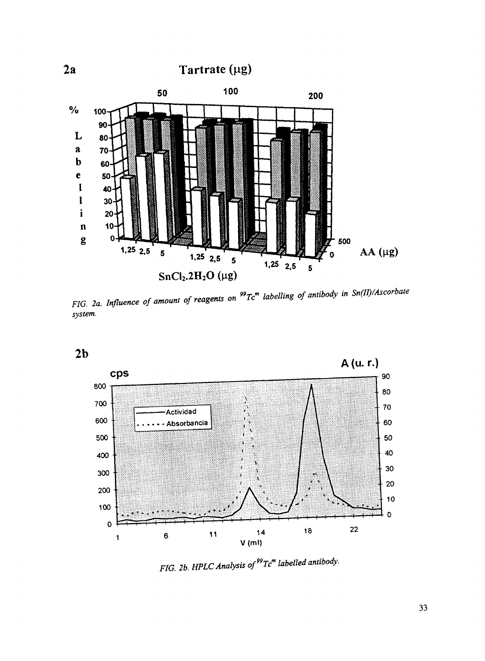

*FIG. 2a. Influence of amount of reagents on system. »Tc<sup>m</sup> labelling of antibody in Sn(II)/Ascorbate*



*FIG. 2b. HPLC Analysis of<sup>99</sup>Tc<sup>m</sup> labelled antibody.*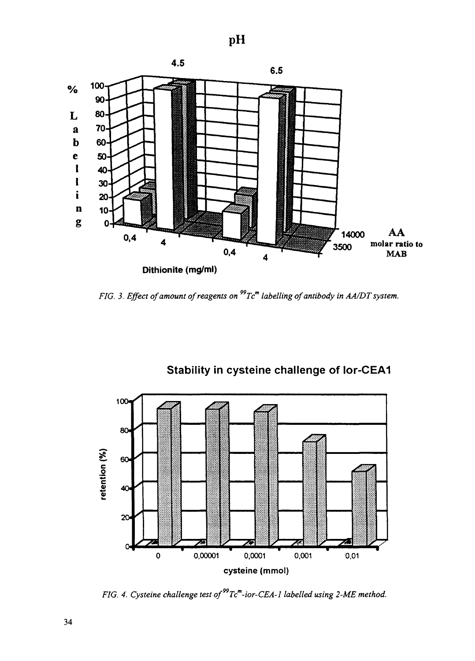

*FIG. 3. Effect of amount of reagents on Tc<sup>m</sup> labelling of antibody in AA/DT system.*



**Stability in cysteine challenge of Ior-CEA1**

*FIG. 4. Cysteine challenge test of" Tc<sup>m</sup> -ior-CEA-l labelled using 2-ME method.*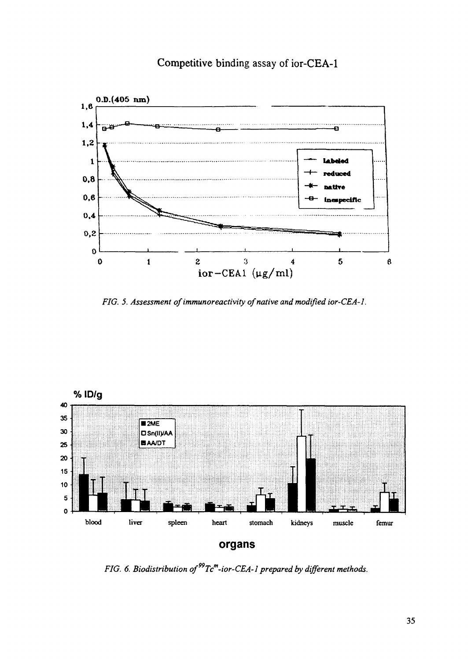## Competitive binding assay of ior-CEA-1



FIG. 5. Assessment of immunoreactivity of native and modified ior-CEA-1.



**organs**

*FIG. 6. Biodistribution of" Tc<sup>m</sup> -ior-CEA-1 prepared by different methods.*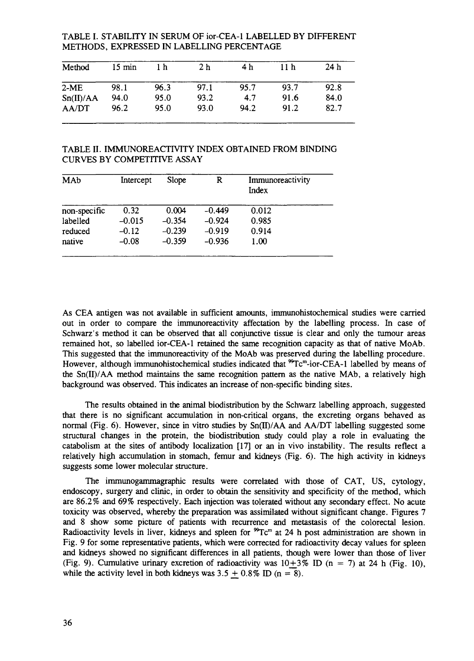TABLE I. STABILITY IN SERUM OF ior-CEA-1 LABELLED BY DIFFERENT METHODS, EXPRESSED IN LABELLING PERCENTAGE

| Method    | $15 \text{ min}$ | 1 h  | 2 <sub>h</sub> | 4 h  | 11 <sub>h</sub> | 24h  |
|-----------|------------------|------|----------------|------|-----------------|------|
| $2-ME$    | 98.1             | 96.3 | 97.1           | 95.7 | 93.7            | 92.8 |
| Sn(II)/AA | 94.0             | 95.0 | 93.2           | 4.7  | 91.6            | 84.0 |
| AA/DT     | 96.2             | 95.0 | 93.0           | 94.2 | 91.2            | 82.7 |

TABLE II. IMMUNOREACTIVITY INDEX OBTAINED FROM BINDING CURVES BY COMPETITIVE ASSAY

| MAb          | Intercept | Slope    | R        | Immunoreactivity<br>Index |
|--------------|-----------|----------|----------|---------------------------|
| non-specific | 0.32      | 0.004    | $-0.449$ | 0.012                     |
| labelled     | $-0.015$  | $-0.354$ | $-0.924$ | 0.985                     |
| reduced      | $-0.12$   | $-0.239$ | $-0.919$ | 0.914                     |
| native       | $-0.08$   | $-0.359$ | $-0.936$ | 1.00                      |

As CEA antigen was not available in sufficient amounts, immunohistochemical studies were carried out in order to compare the immunoreactivity affectation by the labelling process. In case of Schwarz's method it can be observed that all conjunctive tissue is clear and only the tumour areas remained hot, so labelled ior-CEA-1 retained the same recognition capacity as that of native MoAb. This suggested that the immunoreactivity of the MoAb was preserved during the labelling procedure. However, although immunohistochemical studies indicated that <sup>99</sup>Tc<sup>m</sup>-ior-CEA-1 labelled by means of the Sn(II)/AA method maintains the same recognition pattern as the native MAb, a relatively high background was observed. This indicates an increase of non-specific binding sites.

The results obtained in the animal biodistribution by the Schwarz labelling approach, suggested that there is no significant accumulation in non-critical organs, the excreting organs behaved as normal (Fig. 6). However, since in vitro studies by Sn(II)/AA and AA/DT labelling suggested some structural changes in the protein, the biodistribution study could play a role in evaluating the catabolism at the sites of antibody localization [17] or an in vivo instability. The results reflect a relatively high accumulation in stomach, femur and kidneys (Fig. 6). The high activity in kidneys suggests some lower molecular structure.

The immunogammagraphic results were correlated with those of CAT, US, cytology, endoscopy, surgery and clinic, in order to obtain the sensitivity and specificity of the method, which are 86.2% and 69% respectively. Each injection was tolerated without any secondary effect. No acute toxicity was observed, whereby the preparation was assimilated without significant change. Figures 7 and 8 show some picture of patients with recurrence and metastasis of the colorectal lesion. Radioactivity levels in liver, kidneys and spleen for  ${}^{99}Tc$ <sup>m</sup> at 24 h post administration are shown in Fig. 9 for some representative patients, which were corrected for radioactivity decay values for spleen and kidneys showed no significant differences in all patients, though were lower than those of liver (Fig. 9). Cumulative urinary excretion of radioactivity was  $10+3\%$  ID (n = 7) at 24 h (Fig. 10), while the activity level in both kidneys was  $3.5 \pm 0.8\%$  ID (n = 8).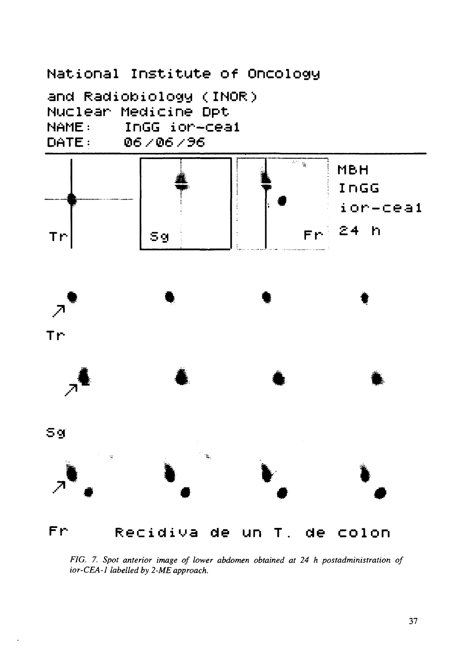

*FIG. 7. Spot anterior image of lower abdomen obtained at 24 h postadministration of ior-CEA-1 labelled by 2-ME approach.*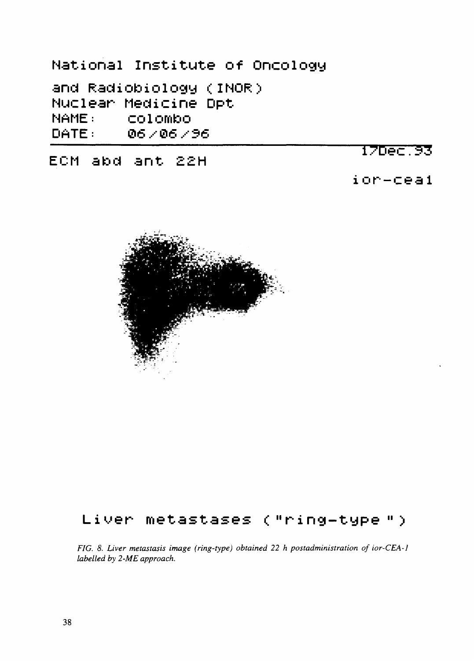**National Institut e of Oncology**

**and Radiobiology <INOR> Nuclear Medicine Dpt NAME: Colombo DATE: 06,- \$6,-36**

**ECM abd ant 2£H**

# 170ec.93

**ior-ceal**



# **Liuer metastases <"ring-type " >**

*FIG. 8. Liver metastasis image (ring-type) obtained 22 h postadministration of ior-CEA-1 labelled by 2-ME approach.*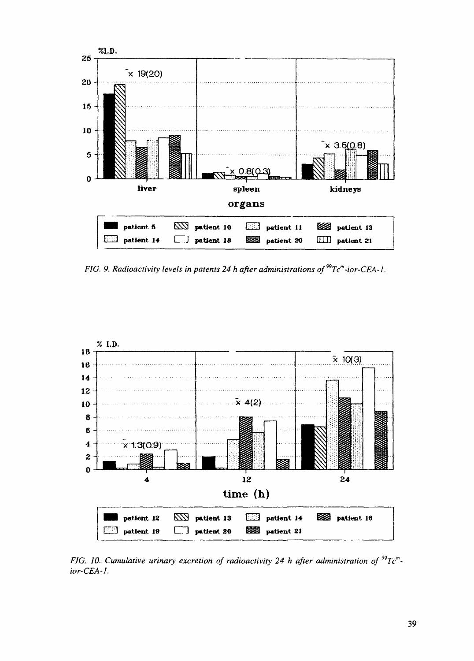

*FIG. 9. Radioactivity levels in patents 24 h after administrations of Tc<sup>m</sup> -ior-CEA-l*



*FIG. 10. Cumulative urinary excretion of radioactivity 24 h after administration of*  ${}^{99}Te^{m}$ *. ior-CEA-1.*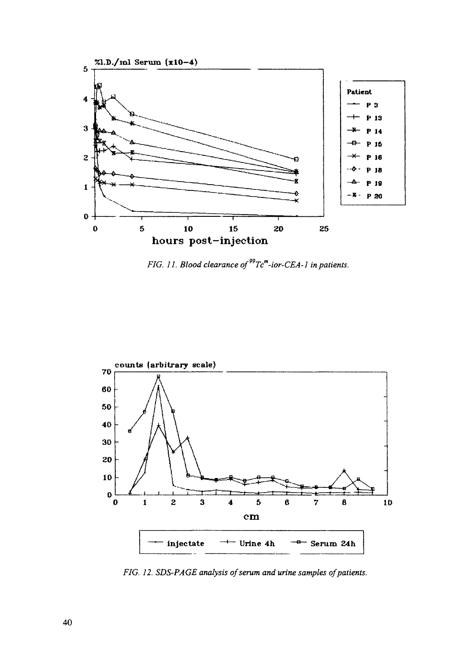

*FIG. 11. Blood clearance of" Tc<sup>m</sup> -ior-CEA-l in patients.*



*FIG. 12. SDS-PAGE analysis of serum and urine samples of patients.*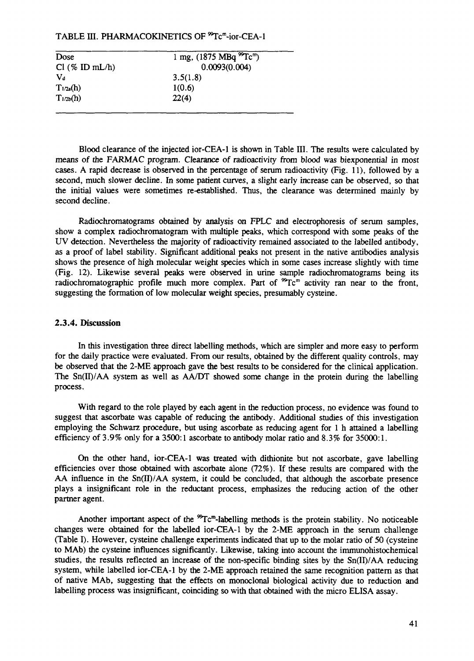## TABLE III. PHARMACOKINETICS OF <sup>99</sup>Tc<sup>m</sup>-ior-CEA-1

| 1 mg, (1875 MBq ${}^{99}$ Tc <sup>m</sup> ) |
|---------------------------------------------|
| 0.0093(0.004)                               |
| 3.5(1.8)                                    |
| 1(0.6)                                      |
| 22(4)                                       |
|                                             |

Blood clearance of the injected ior-CEA-1 is shown in Table **III.** The results were calculated by means of the FARMAC program. Clearance of radioactivity from blood was biexponential in most cases. A rapid decrease is observed in the percentage of serum radioactivity (Fig. 11), followed by a second, much slower decline. In some patient curves, a slight early increase can be observed, so that the initial values were sometimes re-established. Thus, the clearance was determined mainly by second decline.

Radiochromatograms obtained by analysis on FPLC and electrophoresis of serum samples, show a complex radiochromatogram with multiple peaks, which correspond with some peaks of the UV detection. Nevertheless the majority of radioactivity remained associated to the labelled antibody, as a proof of label stability. Significant additional peaks not present in the native antibodies analysis shows the presence of high molecular weight species which in some cases increase slightly with time (Fig. 12). Likewise several peaks were observed in urine sample radiochromatograms being its radiochromatographic profile much more complex. Part of  ${}^{99}Te^{m}$  activity ran near to the front, suggesting the formation of low molecular weight species, presumably cysteine.

#### **2.3.4. Discussion**

In this investigation three direct labelling methods, which are simpler and more easy to perform for the daily practice were evaluated. From our results, obtained by the different quality controls, may be observed that the 2-ME approach gave the best results to be considered for the clinical application. The Sn(II)/AA system as well as AA/DT showed some change in the protein during the labelling process.

With regard to the role played by each agent in the reduction process, no evidence was found to suggest that ascorbate was capable of reducing the antibody. Additional studies of this investigation employing the Schwarz procedure, but using ascorbate as reducing agent for 1 h attained a labelling efficiency of 3.9% only for a 3500:1 ascorbate to antibody molar ratio and 8.3% for 35000:1.

On the other hand, ior-CEA-1 was treated with dithionite but not ascorbate, gave labelling efficiencies over those obtained with ascorbate alone (72%). If these results are compared with the AA influence in the  $\text{Sn(II)}/\text{AA}$  system, it could be concluded, that although the ascorbate presence plays a insignificant role in the reductant process, emphasizes the reducing action of the other partner agent.

Another important aspect of the <sup>99</sup>Tc<sup>m</sup>-labelling methods is the protein stability. No noticeable changes were obtained for the labelled ior-CEA-1 by the 2-ME approach in the serum challenge (Table I). However, cysteine challenge experiments indicated that up to the molar ratio of 50 (cysteine to MAb) the cysteine influences significantly. Likewise, taking into account the immunohistochemical studies, the results reflected an increase of the non-specific binding sites by the Sn(II)/AA reducing system, while labelled ior-CEA-1 by the 2-ME approach retained the same recognition pattern as that of native MAb, suggesting that the effects on monoclonal biological activity due to reduction and labelling process was insignificant, coinciding so with that obtained with the micro ELISA assay.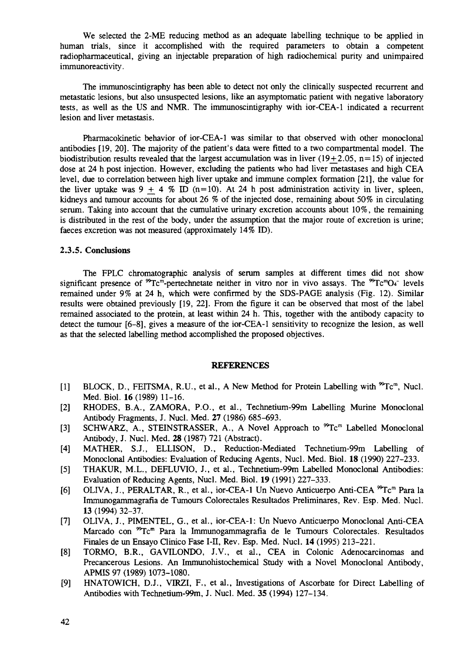We selected the 2-ME reducing method as an adequate labelling technique to be applied in human trials, since it accomplished with the required parameters to obtain a competent radiopharmaceutical, giving an injectable preparation of high radiochemical purity and unimpaired immunoreactivity.

The immunoscintigraphy has been able to detect not only the clinically suspected recurrent and metastatic lesions, but also unsuspected lesions, like an asymptomatic patient with negative laboratory tests, as well as the US and NMR. The immunoscintigraphy with ior-CEA-1 indicated a recurrent lesion and liver metastasis.

Pharmacokinetic behavior of ior-CEA-1 was similar to that observed with other monoclonal antibodies [19, 20]. The majority of the patient's data were fitted to a two compartmental model. The biodistribution results revealed that the largest accumulation was in liver (19+2.05, n=15) of injected dose at 24 h post injection. However, excluding the patients who had liver metastases and high CEA level, due to correlation between high liver uptake and immune complex formation [21], the value for the liver uptake was  $9 + 4$  % ID (n=10). At 24 h post administration activity in liver, spleen, kidneys and tumour accounts for about 26 % of the injected dose, remaining about 50% in circulating serum. Taking into account that the cumulative urinary excretion accounts about 10%, the remaining is distributed in the rest of the body, under the assumption that the major route of excretion is urine; faeces excretion was not measured (approximately 14% ID).

### 2.3.5. Conclusions

The FPLC chromatographic analysis of serum samples at different times did not show significant presence of  ${}^{99}Te^{\overline{m}}$ -pertechnetate neither in vitro nor in vivo assays. The  ${}^{99}Te^mO_4$  levels remained under 9% at 24 h, which were confirmed by the SDS-PAGE analysis (Fig. 12). Similar results were obtained previously [19, 22]. From the figure it can be observed that most of the label remained associated to the protein, at least within 24 h. This, together with the antibody capacity to detect the tumour [6-8], gives a measure of the ior-CEA-1 sensitivity to recognize the lesion, as well as that the selected labelling method accomplished the proposed objectives.

#### REFERENCES

- [1] BLOCK, D., FEITSMA, R.U., et al., A New Method for Protein Labelling with <sup>99</sup>Tc<sup>m</sup>, Nucl. Med. Biol. 16(1989) 11-16.
- [2] RHODES, B.A., ZAMORA, P.O., et al., Technetium-99m Labelling Murine Monoclonal Antibody Fragments, J. Nucl. Med. 27 (1986) 685-693.
- [3] SCHWARZ, A., STEINSTRASSER, A., A Novel Approach to <sup>99</sup>Tc<sup>m</sup> Labelled Monoclonal Antibody, J. Nucl. Med. 28 (1987) 721 (Abstract).
- [4] MATHER, S.J., ELLISON, D., Reduction-Mediated Technetium-99m Labelling of Monoclonal Antibodies: Evaluation of Reducing Agents, Nucl. Med. Biol. 18 (1990) 227-233.
- [5] THAKUR, M.L., DEFLUVIO, J., et al., Technetium-99m Labelled Monoclonal Antibodies: Evaluation of Reducing Agents, Nucl. Med. Biol. 19 (1991) 227-333.
- [6] OLIVA, J., PERALTAR, R., et al., ior-CEA-1 Un Nuevo Anticuerpo Anti-CEA <sup>99</sup>Tc<sup>m</sup> Para la Immunogammagrafia de Tumours Colorectales Resultados Preliminares, Rev. Esp. Med. Nucl. 13 (1994) 32-37.
- [7] OLIVA, J., PIMENTEL, G., et al., ior-CEA-1: Un Nuevo Anticuerpo Monoclonal Anti-CEA Marcado con <sup>99</sup>Tc<sup>m</sup> Para la Immunogammagrafia de le Tumours Colorectales. Resultados Finales de un Ensayo Clinico Fase I-II, Rev. Esp. Med. Nucl. 14 (1995) 213-221.
- [8] TORMO, B.R., GAVILONDO, J.V., et al., CEA in Colonic Adenocarcinomas and Precancerous Lesions. An Immunohistochemical Study with a Novel Monoclonal Antibody, APMIS 97 (1989) 1073-1080.
- [9] HNATOWICH, D.J., VIRZI, F., et al., Investigations of Ascorbate for Direct Labelling of Antibodies with Technetium-99m, J. Nucl. Med. 35 (1994) 127-134.